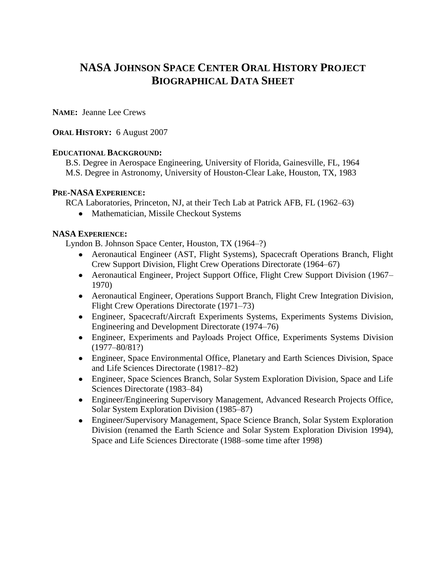# **NASA JOHNSON SPACE CENTER ORAL HISTORY PROJECT BIOGRAPHICAL DATA SHEET**

**NAME:** Jeanne Lee Crews

# **ORAL HISTORY:** 6 August 2007

# **EDUCATIONAL BACKGROUND:**

B.S. Degree in Aerospace Engineering, University of Florida, Gainesville, FL, 1964 M.S. Degree in Astronomy, University of Houston-Clear Lake, Houston, TX, 1983

### **PRE-NASA EXPERIENCE:**

RCA Laboratories, Princeton, NJ, at their Tech Lab at Patrick AFB, FL (1962–63)

• Mathematician, Missile Checkout Systems

### **NASA EXPERIENCE:**

Lyndon B. Johnson Space Center, Houston, TX (1964–?)

- Aeronautical Engineer (AST, Flight Systems), Spacecraft Operations Branch, Flight Crew Support Division, Flight Crew Operations Directorate (1964–67)
- Aeronautical Engineer, Project Support Office, Flight Crew Support Division (1967– 1970)
- Aeronautical Engineer, Operations Support Branch, Flight Crew Integration Division, Flight Crew Operations Directorate (1971–73)
- Engineer, Spacecraft/Aircraft Experiments Systems, Experiments Systems Division, Engineering and Development Directorate (1974–76)
- Engineer, Experiments and Payloads Project Office, Experiments Systems Division (1977–80/81?)
- Engineer, Space Environmental Office, Planetary and Earth Sciences Division, Space and Life Sciences Directorate (1981?–82)
- Engineer, Space Sciences Branch, Solar System Exploration Division, Space and Life Sciences Directorate (1983–84)
- Engineer/Engineering Supervisory Management, Advanced Research Projects Office, Solar System Exploration Division (1985–87)
- Engineer/Supervisory Management, Space Science Branch, Solar System Exploration Division (renamed the Earth Science and Solar System Exploration Division 1994), Space and Life Sciences Directorate (1988–some time after 1998)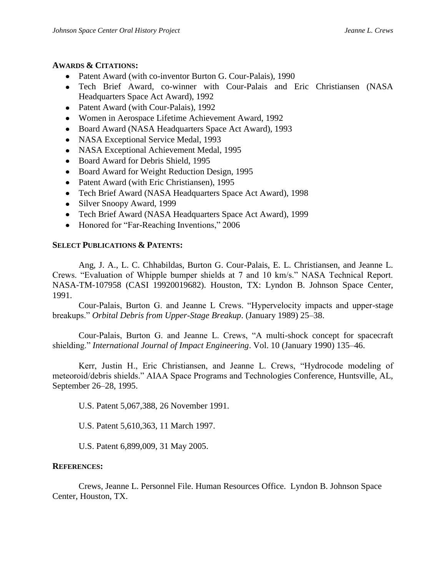#### **AWARDS & CITATIONS:**

- Patent Award (with co-inventor Burton G. Cour-Palais), 1990
- Tech Brief Award, co-winner with Cour-Palais and Eric Christiansen (NASA Headquarters Space Act Award), 1992
- Patent Award (with Cour-Palais), 1992
- Women in Aerospace Lifetime Achievement Award, 1992
- Board Award (NASA Headquarters Space Act Award), 1993
- NASA Exceptional Service Medal, 1993
- NASA Exceptional Achievement Medal, 1995
- Board Award for Debris Shield, 1995
- Board Award for Weight Reduction Design, 1995
- Patent Award (with Eric Christiansen), 1995
- Tech Brief Award (NASA Headquarters Space Act Award), 1998
- Silver Snoopy Award, 1999
- Tech Brief Award (NASA Headquarters Space Act Award), 1999
- Honored for "Far-Reaching Inventions," 2006

#### **SELECT PUBLICATIONS & PATENTS:**

Ang, J. A., L. C. Chhabildas, Burton G. Cour-Palais, E. L. Christiansen, and Jeanne L. Crews. "Evaluation of Whipple bumper shields at 7 and 10 km/s." NASA Technical Report. NASA-TM-107958 (CASI 19920019682). Houston, TX: Lyndon B. Johnson Space Center, 1991.

Cour-Palais, Burton G. and Jeanne L Crews. "Hypervelocity impacts and upper-stage breakups." *Orbital Debris from Upper-Stage Breakup*. (January 1989) 25–38.

Cour-Palais, Burton G. and Jeanne L. Crews, "A multi-shock concept for spacecraft shielding." *International Journal of Impact Engineering*. Vol. 10 (January 1990) 135–46.

Kerr, Justin H., Eric Christiansen, and Jeanne L. Crews, "Hydrocode modeling of meteoroid/debris shields." AIAA Space Programs and Technologies Conference, Huntsville, AL, September 26–28, 1995.

U.S. Patent 5,067,388, 26 November 1991.

U.S. Patent 5,610,363, 11 March 1997.

U.S. Patent 6,899,009, 31 May 2005.

#### **REFERENCES:**

Crews, Jeanne L. Personnel File. Human Resources Office. Lyndon B. Johnson Space Center, Houston, TX.